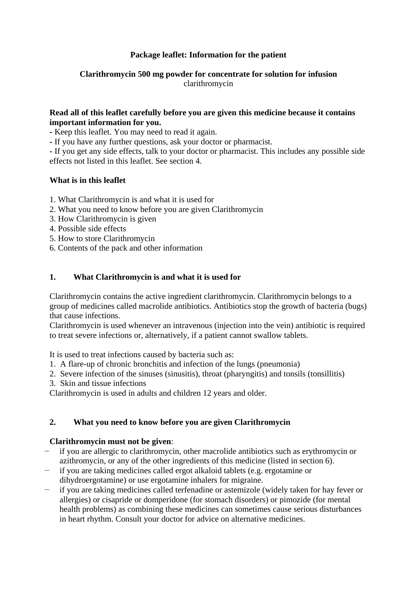# **Package leaflet: Information for the patient**

# **Clarithromycin 500 mg powder for concentrate for solution for infusion** clarithromycin

### **Read all of this leaflet carefully before you are given this medicine because it contains important information for you.**

**-** Keep this leaflet. You may need to read it again.

**-** If you have any further questions, ask your doctor or pharmacist.

**-** If you get any side effects, talk to your doctor or pharmacist. This includes any possible side effects not listed in this leaflet. See section 4.

# **What is in this leaflet**

- 1. What Clarithromycin is and what it is used for
- 2. What you need to know before you are given Clarithromycin
- 3. How Clarithromycin is given
- 4. Possible side effects
- 5. How to store Clarithromycin
- 6. Contents of the pack and other information

# **1. What Clarithromycin is and what it is used for**

Clarithromycin contains the active ingredient clarithromycin. Clarithromycin belongs to a group of medicines called macrolide antibiotics. Antibiotics stop the growth of bacteria (bugs) that cause infections.

Clarithromycin is used whenever an intravenous (injection into the vein) antibiotic is required to treat severe infections or, alternatively, if a patient cannot swallow tablets.

It is used to treat infections caused by bacteria such as:

- 1. A flare-up of chronic bronchitis and infection of the lungs (pneumonia)
- 2. Severe infection of the sinuses (sinusitis), throat (pharyngitis) and tonsils (tonsillitis)
- 3. Skin and tissue infections

Clarithromycin is used in adults and children 12 years and older.

#### **2. What you need to know before you are given Clarithromycin**

#### **Clarithromycin must not be given**:

- − if you are allergic to clarithromycin, other macrolide antibiotics such as erythromycin or azithromycin, or any of the other ingredients of this medicine (listed in section 6).
- − if you are taking medicines called ergot alkaloid tablets (e.g. ergotamine or dihydroergotamine) or use ergotamine inhalers for migraine.
- if you are taking medicines called terfenadine or astemizole (widely taken for hay fever or allergies) or cisapride or domperidone (for stomach disorders) or pimozide (for mental health problems) as combining these medicines can sometimes cause serious disturbances in heart rhythm. Consult your doctor for advice on alternative medicines.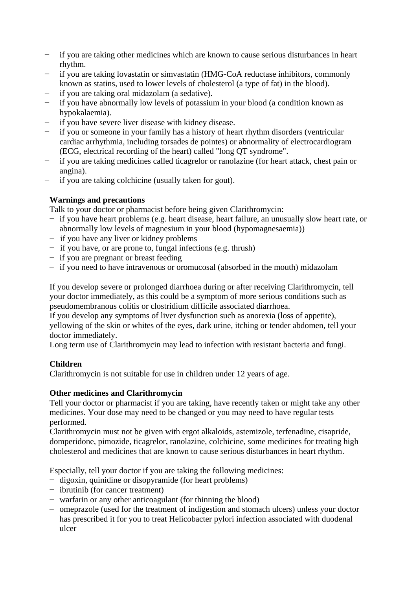- − if you are taking other medicines which are known to cause serious disturbances in heart rhythm.
- − if you are taking lovastatin or simvastatin (HMG-CoA reductase inhibitors, commonly known as statins, used to lower levels of cholesterol (a type of fat) in the blood).
- − if you are taking oral midazolam (a sedative).
- if you have abnormally low levels of potassium in your blood (a condition known as hypokalaemia).
- if you have severe liver disease with kidney disease.
- if you or someone in your family has a history of heart rhythm disorders (ventricular cardiac arrhythmia, including torsades de pointes) or abnormality of electrocardiogram (ECG, electrical recording of the heart) called "long QT syndrome".
- if you are taking medicines called ticagrelor or ranolazine (for heart attack, chest pain or angina).
- − if you are taking colchicine (usually taken for gout).

# **Warnings and precautions**

Talk to your doctor or pharmacist before being given Clarithromycin:

- − if you have heart problems (e.g. heart disease, heart failure, an unusually slow heart rate, or abnormally low levels of magnesium in your blood (hypomagnesaemia))
- − if you have any liver or kidney problems
- − if you have, or are prone to, fungal infections (e.g. thrush)
- − if you are pregnant or breast feeding
- if you need to have intravenous or oromucosal (absorbed in the mouth) midazolam

If you develop severe or prolonged diarrhoea during or after receiving Clarithromycin, tell your doctor immediately, as this could be a symptom of more serious conditions such as pseudomembranous colitis or clostridium difficile associated diarrhoea.

If you develop any symptoms of liver dysfunction such as anorexia (loss of appetite), yellowing of the skin or whites of the eyes, dark urine, itching or tender abdomen, tell your doctor immediately.

Long term use of Clarithromycin may lead to infection with resistant bacteria and fungi.

# **Children**

Clarithromycin is not suitable for use in children under 12 years of age.

# **Other medicines and Clarithromycin**

Tell your doctor or pharmacist if you are taking, have recently taken or might take any other medicines. Your dose may need to be changed or you may need to have regular tests performed.

Clarithromycin must not be given with ergot alkaloids, astemizole, terfenadine, cisapride, domperidone, pimozide, ticagrelor, ranolazine, colchicine, some medicines for treating high cholesterol and medicines that are known to cause serious disturbances in heart rhythm.

Especially, tell your doctor if you are taking the following medicines:

- − digoxin, quinidine or disopyramide (for heart problems)
- − ibrutinib (for cancer treatment)
- − warfarin or any other anticoagulant (for thinning the blood)
- omeprazole (used for the treatment of indigestion and stomach ulcers) unless your doctor has prescribed it for you to treat Helicobacter pylori infection associated with duodenal ulcer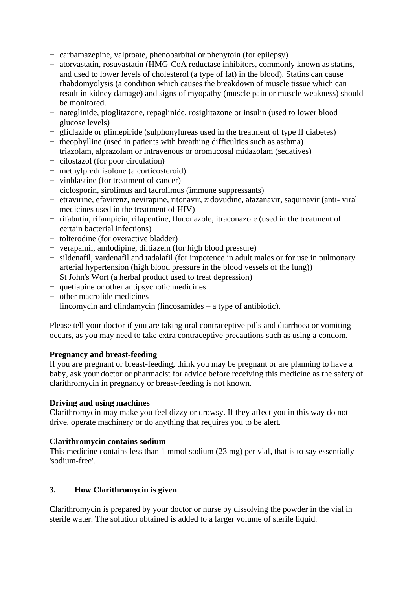- − carbamazepine, valproate, phenobarbital or phenytoin (for epilepsy)
- − atorvastatin, rosuvastatin (HMG-CoA reductase inhibitors, commonly known as statins, and used to lower levels of cholesterol (a type of fat) in the blood). Statins can cause rhabdomyolysis (a condition which causes the breakdown of muscle tissue which can result in kidney damage) and signs of myopathy (muscle pain or muscle weakness) should be monitored.
- − nateglinide, pioglitazone, repaglinide, rosiglitazone or insulin (used to lower blood glucose levels)
- − gliclazide or glimepiride (sulphonylureas used in the treatment of type II diabetes)
- − theophylline (used in patients with breathing difficulties such as asthma)
- − triazolam, alprazolam or intravenous or oromucosal midazolam (sedatives)
- − cilostazol (for poor circulation)
- − methylprednisolone (a corticosteroid)
- − vinblastine (for treatment of cancer)
- − ciclosporin, sirolimus and tacrolimus (immune suppressants)
- − etravirine, efavirenz, nevirapine, ritonavir, zidovudine, atazanavir, saquinavir (anti- viral medicines used in the treatment of HIV)
- − rifabutin, rifampicin, rifapentine, fluconazole, itraconazole (used in the treatment of certain bacterial infections)
- − tolterodine (for overactive bladder)
- − verapamil, amlodipine, diltiazem (for high blood pressure)
- − sildenafil, vardenafil and tadalafil (for impotence in adult males or for use in pulmonary arterial hypertension (high blood pressure in the blood vessels of the lung))
- − St John's Wort (a herbal product used to treat depression)
- − quetiapine or other antipsychotic medicines
- − other macrolide medicines
- − lincomycin and clindamycin (lincosamides a type of antibiotic).

Please tell your doctor if you are taking oral contraceptive pills and diarrhoea or vomiting occurs, as you may need to take extra contraceptive precautions such as using a condom.

#### **Pregnancy and breast-feeding**

If you are pregnant or breast-feeding, think you may be pregnant or are planning to have a baby, ask your doctor or pharmacist for advice before receiving this medicine as the safety of clarithromycin in pregnancy or breast-feeding is not known.

#### **Driving and using machines**

Clarithromycin may make you feel dizzy or drowsy. If they affect you in this way do not drive, operate machinery or do anything that requires you to be alert.

#### **Clarithromycin contains sodium**

This medicine contains less than 1 mmol sodium (23 mg) per vial, that is to say essentially 'sodium-free'.

#### **3. How Clarithromycin is given**

Clarithromycin is prepared by your doctor or nurse by dissolving the powder in the vial in sterile water. The solution obtained is added to a larger volume of sterile liquid.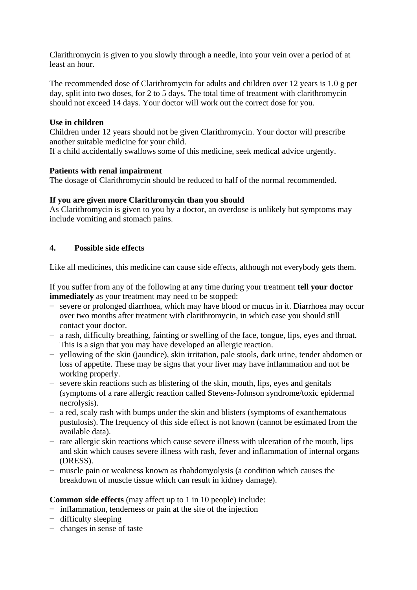Clarithromycin is given to you slowly through a needle, into your vein over a period of at least an hour.

The recommended dose of Clarithromycin for adults and children over 12 years is 1.0 g per day, split into two doses, for 2 to 5 days. The total time of treatment with clarithromycin should not exceed 14 days. Your doctor will work out the correct dose for you.

### **Use in children**

Children under 12 years should not be given Clarithromycin. Your doctor will prescribe another suitable medicine for your child.

If a child accidentally swallows some of this medicine, seek medical advice urgently.

### **Patients with renal impairment**

The dosage of Clarithromycin should be reduced to half of the normal recommended.

### **If you are given more Clarithromycin than you should**

As Clarithromycin is given to you by a doctor, an overdose is unlikely but symptoms may include vomiting and stomach pains.

# **4. Possible side effects**

Like all medicines, this medicine can cause side effects, although not everybody gets them.

If you suffer from any of the following at any time during your treatment **tell your doctor immediately** as your treatment may need to be stopped:

- − severe or prolonged diarrhoea, which may have blood or mucus in it. Diarrhoea may occur over two months after treatment with clarithromycin, in which case you should still contact your doctor.
- − a rash, difficulty breathing, fainting or swelling of the face, tongue, lips, eyes and throat. This is a sign that you may have developed an allergic reaction.
- − yellowing of the skin (jaundice), skin irritation, pale stools, dark urine, tender abdomen or loss of appetite. These may be signs that your liver may have inflammation and not be working properly.
- − severe skin reactions such as blistering of the skin, mouth, lips, eyes and genitals (symptoms of a rare allergic reaction called Stevens-Johnson syndrome/toxic epidermal necrolysis).
- − a red, scaly rash with bumps under the skin and blisters (symptoms of exanthematous pustulosis). The frequency of this side effect is not known (cannot be estimated from the available data).
- − rare allergic skin reactions which cause severe illness with ulceration of the mouth, lips and skin which causes severe illness with rash, fever and inflammation of internal organs (DRESS).
- − muscle pain or weakness known as rhabdomyolysis (a condition which causes the breakdown of muscle tissue which can result in kidney damage).

**Common side effects** (may affect up to 1 in 10 people) include:

- − inflammation, tenderness or pain at the site of the injection
- − difficulty sleeping
- − changes in sense of taste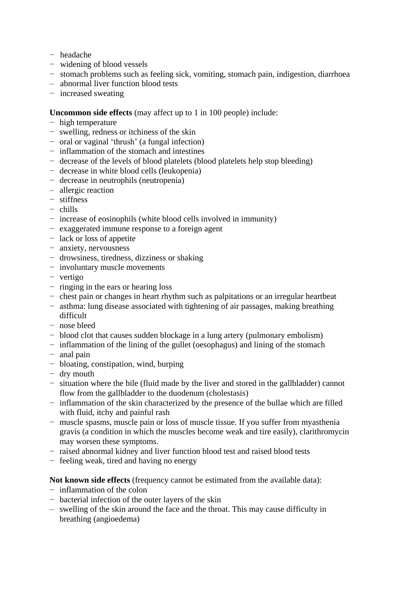- − headache
- − widening of blood vessels
- − stomach problems such as feeling sick, vomiting, stomach pain, indigestion, diarrhoea
- abnormal liver function blood tests
- − increased sweating

### **Uncommon side effects** (may affect up to 1 in 100 people) include:

- − high temperature
- − swelling, redness or itchiness of the skin
- − oral or vaginal 'thrush' (a fungal infection)
- − inflammation of the stomach and intestines
- − decrease of the levels of blood platelets (blood platelets help stop bleeding)
- − decrease in white blood cells (leukopenia)
- − decrease in neutrophils (neutropenia)
- allergic reaction
- − stiffness
- − chills
- − increase of eosinophils (white blood cells involved in immunity)
- − exaggerated immune response to a foreign agent
- − lack or loss of appetite
- − anxiety, nervousness
- − drowsiness, tiredness, dizziness or shaking
- − involuntary muscle movements
- − vertigo
- − ringing in the ears or hearing loss
- − chest pain or changes in heart rhythm such as palpitations or an irregular heartbeat
- − asthma: lung disease associated with tightening of air passages, making breathing difficult
- − nose bleed
- − blood clot that causes sudden blockage in a lung artery (pulmonary embolism)
- − inflammation of the lining of the gullet (oesophagus) and lining of the stomach
- − anal pain
- − bloating, constipation, wind, burping
- − dry mouth
- − situation where the bile (fluid made by the liver and stored in the gallbladder) cannot flow from the gallbladder to the duodenum (cholestasis)
- − inflammation of the skin characterized by the presence of the bullae which are filled with fluid, itchy and painful rash
- − muscle spasms, muscle pain or loss of muscle tissue. If you suffer from myasthenia gravis (a condition in which the muscles become weak and tire easily), clarithromycin may worsen these symptoms.
- − raised abnormal kidney and liver function blood test and raised blood tests
- − feeling weak, tired and having no energy

#### **Not known side effects** (frequency cannot be estimated from the available data):

- − inflammation of the colon
- − bacterial infection of the outer layers of the skin
- swelling of the skin around the face and the throat. This may cause difficulty in breathing (angioedema)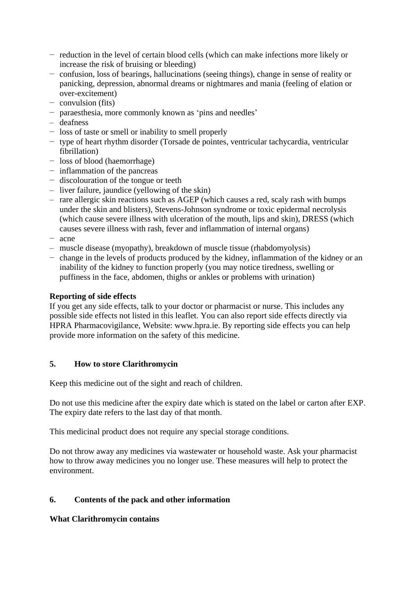- − reduction in the level of certain blood cells (which can make infections more likely or increase the risk of bruising or bleeding)
- − confusion, loss of bearings, hallucinations (seeing things), change in sense of reality or panicking, depression, abnormal dreams or nightmares and mania (feeling of elation or over-excitement)
- − convulsion (fits)
- − paraesthesia, more commonly known as 'pins and needles'
- deafness
- − loss of taste or smell or inability to smell properly
- − type of heart rhythm disorder (Torsade de pointes, ventricular tachycardia, ventricular fibrillation)
- − loss of blood (haemorrhage)
- − inflammation of the pancreas
- − discolouration of the tongue or teeth
- liver failure, jaundice (yellowing of the skin)
- rare allergic skin reactions such as AGEP (which causes a red, scaly rash with bumps under the skin and blisters), Stevens-Johnson syndrome or toxic epidermal necrolysis (which cause severe illness with ulceration of the mouth, lips and skin), DRESS (which causes severe illness with rash, fever and inflammation of internal organs)
- − acne
- muscle disease (myopathy), breakdown of muscle tissue (rhabdomyolysis)
- − change in the levels of products produced by the kidney, inflammation of the kidney or an inability of the kidney to function properly (you may notice tiredness, swelling or puffiness in the face, abdomen, thighs or ankles or problems with urination)

## **Reporting of side effects**

If you get any side effects, talk to your doctor or pharmacist or nurse. This includes any possible side effects not listed in this leaflet. You can also report side effects directly via HPRA Pharmacovigilance, Website: www.hpra.ie. By reporting side effects you can help provide more information on the safety of this medicine.

# **5. How to store Clarithromycin**

Keep this medicine out of the sight and reach of children.

Do not use this medicine after the expiry date which is stated on the label or carton after EXP. The expiry date refers to the last day of that month.

This medicinal product does not require any special storage conditions.

Do not throw away any medicines via wastewater or household waste. Ask your pharmacist how to throw away medicines you no longer use. These measures will help to protect the environment.

# **6. Contents of the pack and other information**

# **What Clarithromycin contains**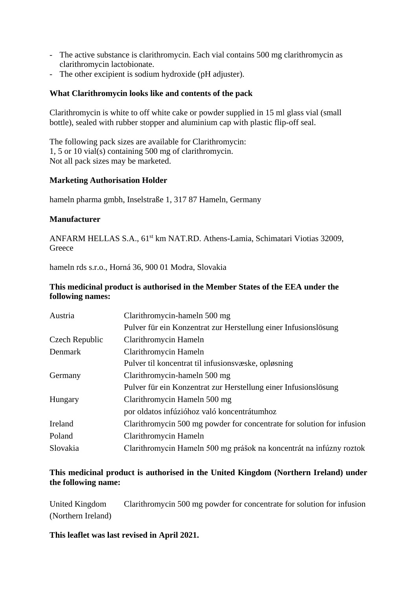- The active substance is clarithromycin. Each vial contains 500 mg clarithromycin as clarithromycin lactobionate.
- The other excipient is sodium hydroxide (pH adjuster).

## **What Clarithromycin looks like and contents of the pack**

Clarithromycin is white to off white cake or powder supplied in 15 ml glass vial (small bottle), sealed with rubber stopper and aluminium cap with plastic flip-off seal.

The following pack sizes are available for Clarithromycin: 1, 5 or 10 vial(s) containing 500 mg of clarithromycin. Not all pack sizes may be marketed.

### **Marketing Authorisation Holder**

hameln pharma gmbh, Inselstraße 1, 317 87 Hameln, Germany

### **Manufacturer**

ANFARM HELLAS S.A., 61<sup>st</sup> km NAT.RD. Athens-Lamia, Schimatari Viotias 32009, **Greece** 

hameln rds s.r.o., Horná 36, 900 01 Modra, Slovakia

# **This medicinal product is authorised in the Member States of the EEA under the following names:**

| Austria        | Clarithromycin-hameln 500 mg                                           |
|----------------|------------------------------------------------------------------------|
|                | Pulver für ein Konzentrat zur Herstellung einer Infusionslösung        |
| Czech Republic | Clarithromycin Hameln                                                  |
| Denmark        | Clarithromycin Hameln                                                  |
|                | Pulver til koncentrat til infusionsvæske, opløsning                    |
| Germany        | Clarithromycin-hameln 500 mg                                           |
|                | Pulver für ein Konzentrat zur Herstellung einer Infusionslösung        |
| Hungary        | Clarithromycin Hameln 500 mg                                           |
|                | por oldatos infúzióhoz való koncentrátumhoz                            |
| Ireland        | Clarithromycin 500 mg powder for concentrate for solution for infusion |
| Poland         | Clarithromycin Hameln                                                  |
| Slovakia       | Clarithromycin Hameln 500 mg prášok na koncentrát na infúzny roztok    |

# **This medicinal product is authorised in the United Kingdom (Northern Ireland) under the following name:**

United Kingdom Clarithromycin 500 mg powder for concentrate for solution for infusion (Northern Ireland)

**This leaflet was last revised in April 2021.**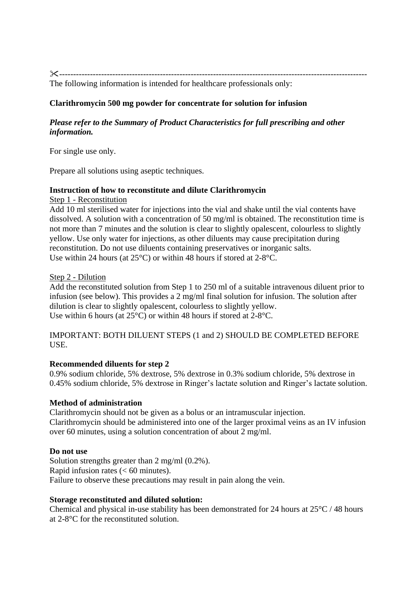-------------------------------------------------------------------------------------------------------------- The following information is intended for healthcare professionals only:

# **Clarithromycin 500 mg powder for concentrate for solution for infusion**

# *Please refer to the Summary of Product Characteristics for full prescribing and other information.*

For single use only.

Prepare all solutions using aseptic techniques.

### **Instruction of how to reconstitute and dilute Clarithromycin**

Step 1 - Reconstitution

Add 10 ml sterilised water for injections into the vial and shake until the vial contents have dissolved. A solution with a concentration of 50 mg/ml is obtained. The reconstitution time is not more than 7 minutes and the solution is clear to slightly opalescent, colourless to slightly yellow. Use only water for injections, as other diluents may cause precipitation during reconstitution. Do not use diluents containing preservatives or inorganic salts. Use within 24 hours (at 25°C) or within 48 hours if stored at 2-8°C.

### Step 2 - Dilution

Add the reconstituted solution from Step 1 to 250 ml of a suitable intravenous diluent prior to infusion (see below). This provides a 2 mg/ml final solution for infusion. The solution after dilution is clear to slightly opalescent, colourless to slightly yellow. Use within 6 hours (at 25°C) or within 48 hours if stored at 2-8°C.

IMPORTANT: BOTH DILUENT STEPS (1 and 2) SHOULD BE COMPLETED BEFORE USE.

# **Recommended diluents for step 2**

0.9% sodium chloride, 5% dextrose, 5% dextrose in 0.3% sodium chloride, 5% dextrose in 0.45% sodium chloride, 5% dextrose in Ringer's lactate solution and Ringer's lactate solution.

# **Method of administration**

Clarithromycin should not be given as a bolus or an intramuscular injection. Clarithromycin should be administered into one of the larger proximal veins as an IV infusion over 60 minutes, using a solution concentration of about 2 mg/ml.

# **Do not use**

Solution strengths greater than 2 mg/ml (0.2%). Rapid infusion rates  $(< 60$  minutes). Failure to observe these precautions may result in pain along the vein.

# **Storage reconstituted and diluted solution:**

Chemical and physical in-use stability has been demonstrated for 24 hours at 25°C / 48 hours at 2-8°C for the reconstituted solution.